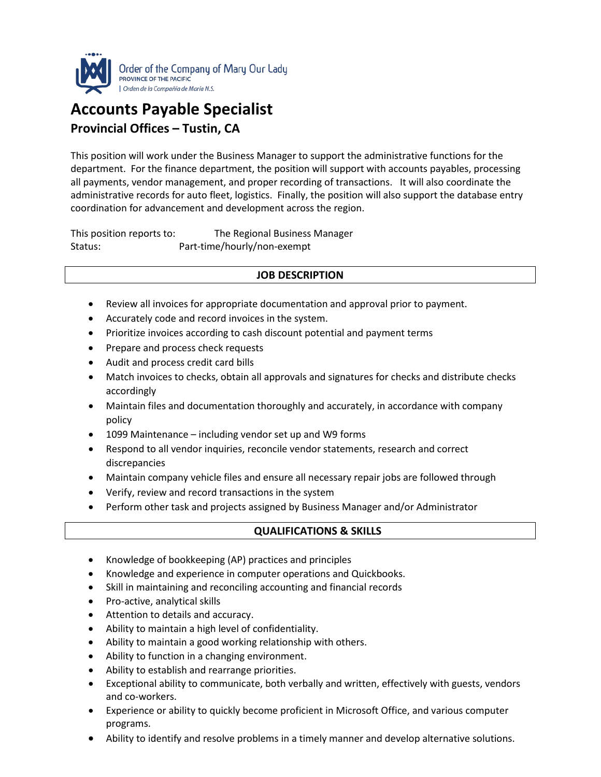

## **Accounts Payable Specialist Provincial Offices – Tustin, CA**

This position will work under the Business Manager to support the administrative functions for the department. For the finance department, the position will support with accounts payables, processing all payments, vendor management, and proper recording of transactions. It will also coordinate the administrative records for auto fleet, logistics. Finally, the position will also support the database entry coordination for advancement and development across the region.

This position reports to: The Regional Business Manager Status: Part-time/hourly/non-exempt

## **JOB DESCRIPTION**

- Review all invoices for appropriate documentation and approval prior to payment.
- Accurately code and record invoices in the system.
- Prioritize invoices according to cash discount potential and payment terms
- Prepare and process check requests
- Audit and process credit card bills
- Match invoices to checks, obtain all approvals and signatures for checks and distribute checks accordingly
- Maintain files and documentation thoroughly and accurately, in accordance with company policy
- 1099 Maintenance including vendor set up and W9 forms
- Respond to all vendor inquiries, reconcile vendor statements, research and correct discrepancies
- Maintain company vehicle files and ensure all necessary repair jobs are followed through
- Verify, review and record transactions in the system
- Perform other task and projects assigned by Business Manager and/or Administrator

## **QUALIFICATIONS & SKILLS**

- Knowledge of bookkeeping (AP) practices and principles
- Knowledge and experience in computer operations and Quickbooks.
- Skill in maintaining and reconciling accounting and financial records
- Pro-active, analytical skills
- Attention to details and accuracy.
- Ability to maintain a high level of confidentiality.
- Ability to maintain a good working relationship with others.
- Ability to function in a changing environment.
- Ability to establish and rearrange priorities.
- Exceptional ability to communicate, both verbally and written, effectively with guests, vendors and co-workers.
- Experience or ability to quickly become proficient in Microsoft Office, and various computer programs.
- Ability to identify and resolve problems in a timely manner and develop alternative solutions.